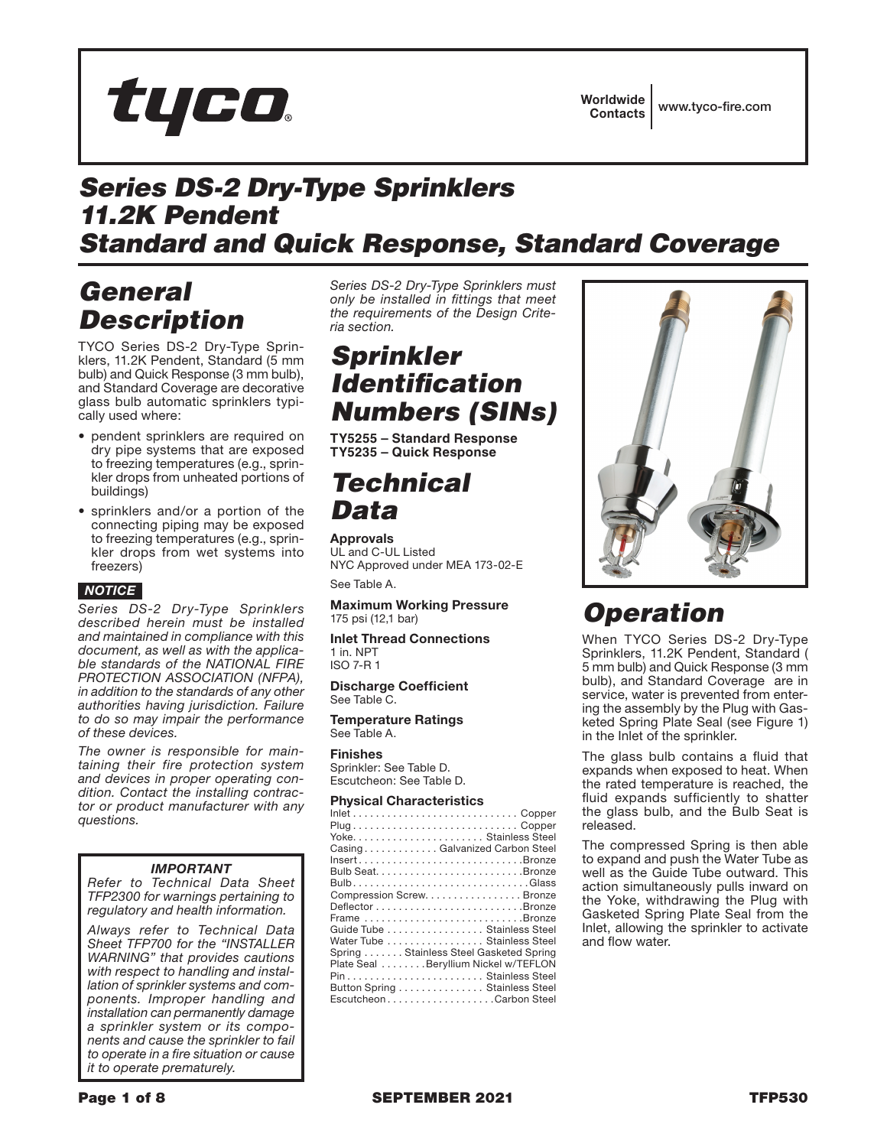

## *Series DS-2 Dry-Type Sprinklers 11.2K Pendent Standard and Quick Response, Standard Coverage*

## *General Description*

TYCO Series DS-2 Dry-Type Sprinklers, 11.2K Pendent, Standard (5 mm bulb) and Quick Response (3 mm bulb), and Standard Coverage are decorative glass bulb automatic sprinklers typically used where:

- pendent sprinklers are required on dry pipe systems that are exposed to freezing temperatures (e.g., sprinkler drops from unheated portions of buildings)
- sprinklers and/or a portion of the connecting piping may be exposed to freezing temperatures (e.g., sprinkler drops from wet systems into freezers)



*Series DS-2 Dry-Type Sprinklers described herein must be installed and maintained in compliance with this document, as well as with the applicable standards of the NATIONAL FIRE PROTECTION ASSOCIATION (NFPA), in addition to the standards of any other authorities having jurisdiction. Failure to do so may impair the performance of these devices.*

*The owner is responsible for maintaining their fire protection system and devices in proper operating condition. Contact the installing contractor or product manufacturer with any questions.* 

## *IMPORTANT*

*Refer to Technical Data Sheet TFP2300 for warnings pertaining to regulatory and health information.*

*Always refer to Technical Data Sheet TFP700 for the "INSTALLER WARNING" that provides cautions with respect to handling and installation of sprinkler systems and components. Improper handling and installation can permanently damage a sprinkler system or its components and cause the sprinkler to fail to operate in a fire situation or cause it to operate prematurely.*

*Series DS-2 Dry-Type Sprinklers must only be installed in fittings that meet the requirements of the Design Criteria section.*

## *Sprinkler Identification Numbers (SINs)*

**TY5255 – Standard Response TY5235 – Quick Response**

## *Technical Data*

Approvals UL and C-UL Listed NYC Approved under MEA 173-02-E

See Table A.

Maximum Working Pressure 175 psi (12,1 bar)

Inlet Thread Connections 1 in. NPT ISO 7-R 1

Discharge Coefficient See Table C.

Temperature Ratings See Table A.

Finishes Sprinkler: See Table D. Escutcheon: See Table D.

### Physical Characteristics

| Plug Copper                            |
|----------------------------------------|
|                                        |
| CasingGalvanized Carbon Steel          |
| InsertBronze                           |
|                                        |
|                                        |
| Compression Screw. Bronze              |
|                                        |
| Frame Bronze                           |
| Guide Tube Stainless Steel             |
| Water Tube Stainless Steel             |
| Spring Stainless Steel Gasketed Spring |
| Plate Seal Beryllium Nickel w/TEFLON   |
| Pin Stainless Steel                    |
| Button Spring Stainless Steel          |
| EscutcheonCarbon Steel                 |



# *Operation*

When TYCO Series DS-2 Dry-Type Sprinklers, 11.2K Pendent, Standard ( 5 mm bulb) and Quick Response (3 mm bulb), and Standard Coverage are in service, water is prevented from entering the assembly by the Plug with Gasketed Spring Plate Seal (see Figure 1) in the Inlet of the sprinkler.

The glass bulb contains a fluid that expands when exposed to heat. When the rated temperature is reached, the fluid expands sufficiently to shatter the glass bulb, and the Bulb Seat is released.

The compressed Spring is then able to expand and push the Water Tube as well as the Guide Tube outward. This action simultaneously pulls inward on the Yoke, withdrawing the Plug with Gasketed Spring Plate Seal from the Inlet, allowing the sprinkler to activate and flow water.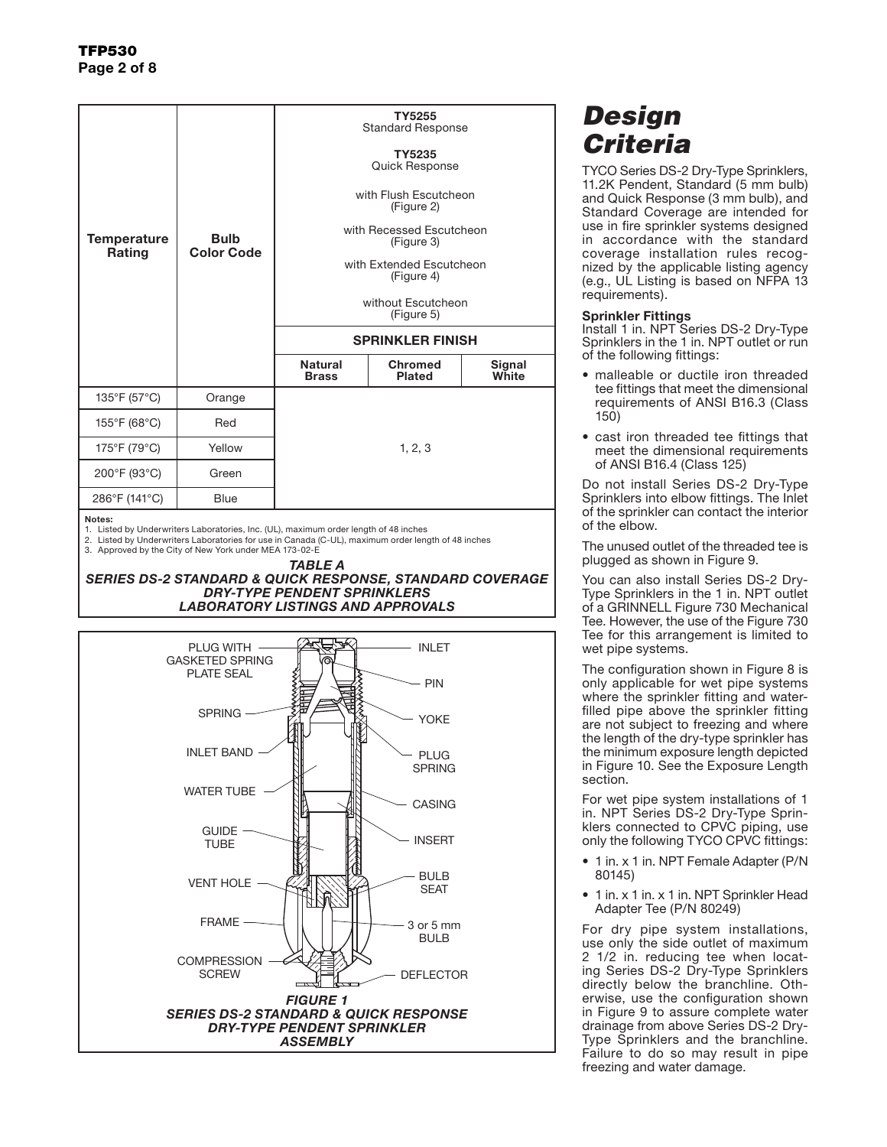|                              |                                  | TY5255<br><b>Standard Response</b>     |                                 |                 |  |  |  |
|------------------------------|----------------------------------|----------------------------------------|---------------------------------|-----------------|--|--|--|
| <b>Temperature</b><br>Rating | <b>Bulb</b><br><b>Color Code</b> | TY5235<br>Quick Response               |                                 |                 |  |  |  |
|                              |                                  | with Flush Escutcheon<br>(Figure 2)    |                                 |                 |  |  |  |
|                              |                                  | with Recessed Escutcheon<br>(Figure 3) |                                 |                 |  |  |  |
|                              |                                  | with Extended Escutcheon<br>(Figure 4) |                                 |                 |  |  |  |
|                              |                                  | without Escutcheon<br>(Figure 5)       |                                 |                 |  |  |  |
|                              |                                  | <b>SPRINKLER FINISH</b>                |                                 |                 |  |  |  |
|                              |                                  | <b>Natural</b><br><b>Brass</b>         | <b>Chromed</b><br><b>Plated</b> | Signal<br>White |  |  |  |
| 135°F (57°C)                 | Orange                           |                                        |                                 |                 |  |  |  |
| 155°F (68°C)                 | Red                              |                                        |                                 |                 |  |  |  |
| 175°F (79°C)                 | Yellow                           | 1, 2, 3                                |                                 |                 |  |  |  |
| 200°F (93°C)                 | Green                            |                                        |                                 |                 |  |  |  |
| 286°F (141°C)<br><b>Blue</b> |                                  |                                        |                                 |                 |  |  |  |

Notes:

1. Listed by Underwriters Laboratories, Inc. (UL), maximum order length of 48 inches

2. Listed by Underwriters Laboratories for use in Canada (C-UL), maximum order length of 48 inches 3. Approved by the City of New York under MEA 173-02-E

*TABLE A SERIES DS-2 STANDARD & QUICK RESPONSE, STANDARD COVERAGE DRY-TYPE PENDENT SPRINKLERS LABORATORY LISTINGS AND APPROVALS*



# *Design Criteria*

TYCO Series DS-2 Dry-Type Sprinklers, 11.2K Pendent, Standard (5 mm bulb) and Quick Response (3 mm bulb), and Standard Coverage are intended for use in fire sprinkler systems designed in accordance with the standard coverage installation rules recognized by the applicable listing agency (e.g., UL Listing is based on NFPA 13 requirements).

### Sprinkler Fittings

Install 1 in. NPT Series DS-2 Dry-Type Sprinklers in the 1 in. NPT outlet or run of the following fittings:

- malleable or ductile iron threaded tee fittings that meet the dimensional requirements of ANSI B16.3 (Class 150)
- cast iron threaded tee fittings that meet the dimensional requirements of ANSI B16.4 (Class 125)

Do not install Series DS-2 Dry-Type Sprinklers into elbow fittings. The Inlet of the sprinkler can contact the interior of the elbow.

The unused outlet of the threaded tee is plugged as shown in Figure 9.

You can also install Series DS-2 Dry-Type Sprinklers in the 1 in. NPT outlet of a GRINNELL Figure 730 Mechanical Tee. However, the use of the Figure 730 Tee for this arrangement is limited to wet pipe systems.

The configuration shown in Figure 8 is only applicable for wet pipe systems where the sprinkler fitting and waterfilled pipe above the sprinkler fitting are not subject to freezing and where the length of the dry-type sprinkler has the minimum exposure length depicted in Figure 10. See the Exposure Length section.

For wet pipe system installations of 1 in. NPT Series DS-2 Dry-Type Sprinklers connected to CPVC piping, use only the following TYCO CPVC fittings:

- 1 in. x 1 in. NPT Female Adapter (P/N 80145)
- 1 in. x 1 in. x 1 in. NPT Sprinkler Head Adapter Tee (P/N 80249)

For dry pipe system installations, use only the side outlet of maximum 2 1/2 in. reducing tee when locating Series DS-2 Dry-Type Sprinklers directly below the branchline. Otherwise, use the configuration shown in Figure 9 to assure complete water drainage from above Series DS-2 Dry-Type Sprinklers and the branchline. Failure to do so may result in pipe freezing and water damage.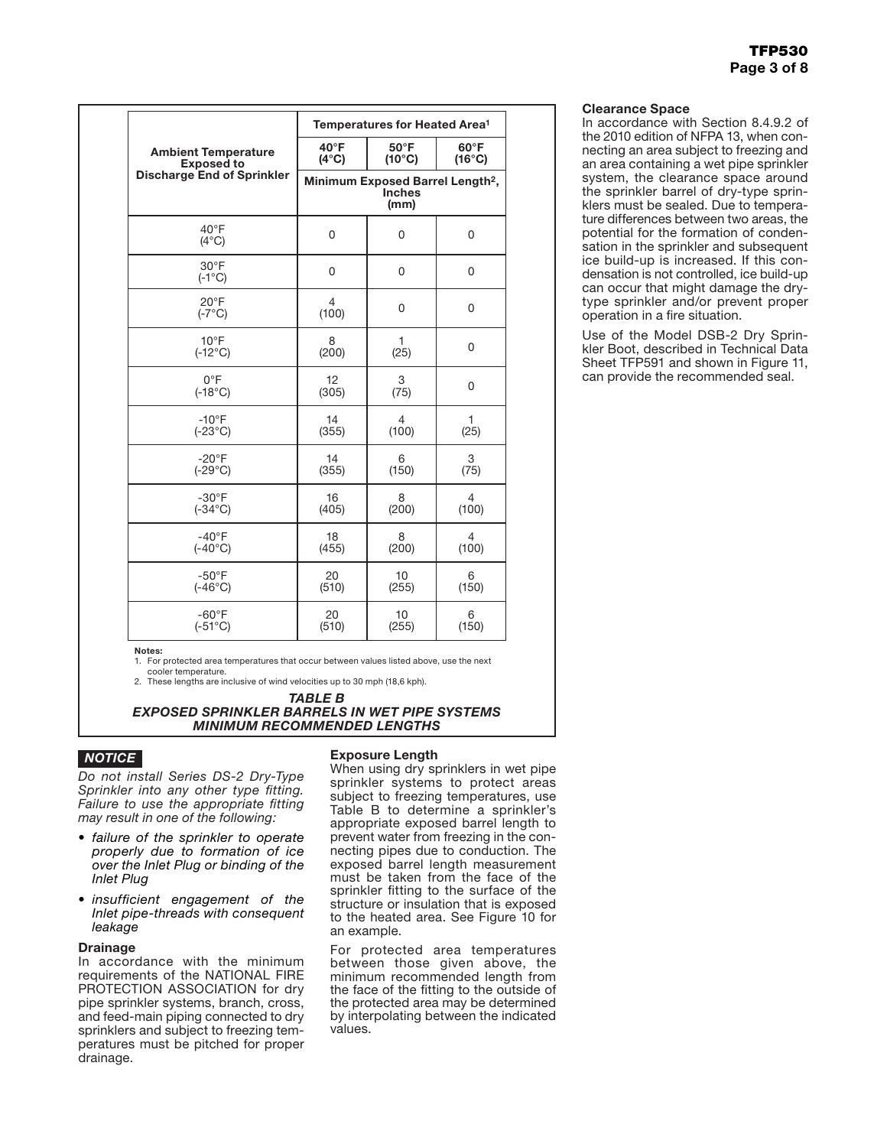|                                    | Temperatures for Heated Area <sup>1</sup>                                                |                 |                |  |  |  |
|------------------------------------|------------------------------------------------------------------------------------------|-----------------|----------------|--|--|--|
| <b>Ambient Temperature</b>         | $40^{\circ}$ F                                                                           | $60^{\circ}$ F  |                |  |  |  |
| <b>Exposed to</b>                  | $(4^{\circ}C)$                                                                           | $(16^{\circ}C)$ |                |  |  |  |
| <b>Discharge End of Sprinkler</b>  | $(10^{\circ}C)$<br>Minimum Exposed Barrel Length <sup>2</sup> ,<br><b>Inches</b><br>(mm) |                 |                |  |  |  |
| $40^{\circ}$ F<br>$(4^{\circ}C)$   | $\boldsymbol{0}$                                                                         | 0               | 0              |  |  |  |
| $30^{\circ}$ F<br>$(-1^{\circ}C)$  | 0                                                                                        | 0               | 0              |  |  |  |
| $20^{\circ}$ F<br>$(-7^{\circ}C)$  | 4<br>(100)                                                                               | 0               | 0<br>$\Omega$  |  |  |  |
| $10^{\circ}$ F<br>$(-12^{\circ}C)$ | 8<br>(200)                                                                               | 1<br>(25)       |                |  |  |  |
| $0^{\circ}$ F                      | 12                                                                                       | 3               | 0              |  |  |  |
| $(-18^{\circ}C)$                   | (305)                                                                                    | (75)            |                |  |  |  |
| $-10$ °F                           | 14                                                                                       | 4               | 1              |  |  |  |
| $(-23^{\circ}C)$                   | (355)                                                                                    | (100)           | (25)           |  |  |  |
| $-20^{\circ}$ F                    | 14                                                                                       | 6               | 3              |  |  |  |
| $(-29^{\circ}C)$                   | (355)                                                                                    | (150)           | (75)           |  |  |  |
| $-30^{\circ}$ F                    | 16                                                                                       | 8               | $\overline{4}$ |  |  |  |
| $(-34^{\circ}C)$                   | (405)                                                                                    | (200)           | (100)          |  |  |  |
| $-40^{\circ}$ F                    | 18                                                                                       | 8               | 4              |  |  |  |
| $(-40^{\circ}C)$                   | (455)                                                                                    | (200)           | (100)          |  |  |  |
| $-50^{\circ}$ F                    | 20                                                                                       | 10              | 6              |  |  |  |
| $(-46^{\circ}C)$                   | (510)                                                                                    | (255)           | (150)          |  |  |  |
| $-60^{\circ}$ F                    | 20                                                                                       | 10              | 6              |  |  |  |
| $(-51^{\circ}C)$                   | (510)                                                                                    | (255)           | (150)          |  |  |  |

Notes: 1. For protected area temperatures that occur between values listed above, use the next cooler temperature.

2. These lengths are inclusive of wind velocities up to 30 mph (18,6 kph).

#### *TABLE B EXPOSED SPRINKLER BARRELS IN WET PIPE SYSTEMS MINIMUM RECOMMENDED LENGTHS*

## *NOTICE*

*Do not install Series DS-2 Dry-Type Sprinkler into any other type fitting. Failure to use the appropriate fitting may result in one of the following:*

- *• failure of the sprinkler to operate properly due to formation of ice over the Inlet Plug or binding of the Inlet Plug*
- *• insufficient engagement of the Inlet pipe-threads with consequent leakage*

### Drainage

In accordance with the minimum requirements of the NATIONAL FIRE PROTECTION ASSOCIATION for dry pipe sprinkler systems, branch, cross, and feed-main piping connected to dry sprinklers and subject to freezing temperatures must be pitched for proper drainage.

### Exposure Length

When using dry sprinklers in wet pipe sprinkler systems to protect areas subject to freezing temperatures, use Table B to determine a sprinkler's appropriate exposed barrel length to prevent water from freezing in the connecting pipes due to conduction. The exposed barrel length measurement must be taken from the face of the sprinkler fitting to the surface of the structure or insulation that is exposed to the heated area. See Figure 10 for an example.

For protected area temperatures between those given above, the minimum recommended length from the face of the fitting to the outside of the protected area may be determined by interpolating between the indicated values.

### Clearance Space

In accordance with Section 8.4.9.2 of the 2010 edition of NFPA 13, when connecting an area subject to freezing and an area containing a wet pipe sprinkler system, the clearance space around the sprinkler barrel of dry-type sprinklers must be sealed. Due to temperature differences between two areas, the potential for the formation of condensation in the sprinkler and subsequent ice build-up is increased. If this condensation is not controlled, ice build-up can occur that might damage the drytype sprinkler and/or prevent proper operation in a fire situation.

Use of the Model DSB-2 Dry Sprinkler Boot, described in Technical Data Sheet TFP591 and shown in Figure 11, can provide the recommended seal.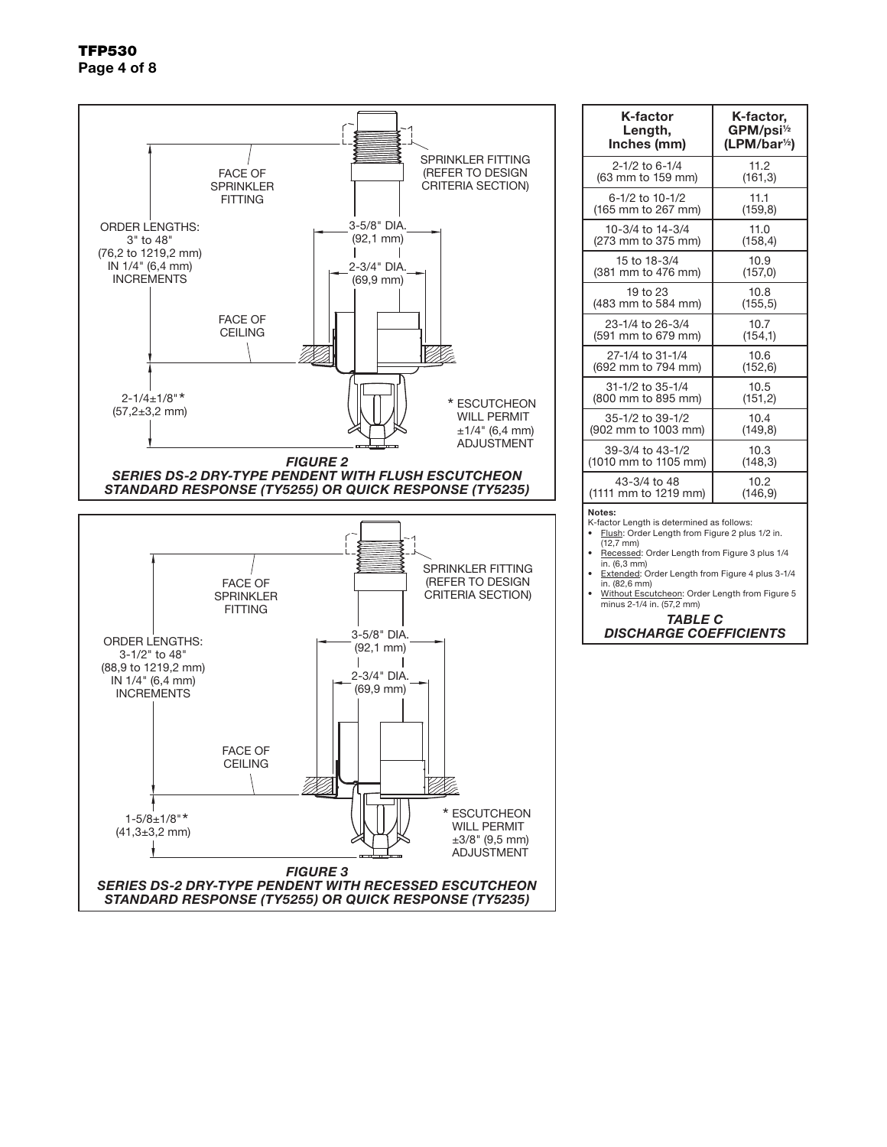

| K-factor                                                                                                                                                                                                                                                                                                                           | K-factor,                 |  |  |  |  |  |  |  |
|------------------------------------------------------------------------------------------------------------------------------------------------------------------------------------------------------------------------------------------------------------------------------------------------------------------------------------|---------------------------|--|--|--|--|--|--|--|
| Length,                                                                                                                                                                                                                                                                                                                            | GPM/psi <sup>1/2</sup>    |  |  |  |  |  |  |  |
| Inches (mm)                                                                                                                                                                                                                                                                                                                        | (LPM/bar <sup>1/2</sup> ) |  |  |  |  |  |  |  |
| 2-1/2 to 6-1/4                                                                                                                                                                                                                                                                                                                     | 11.2                      |  |  |  |  |  |  |  |
| (63 mm to 159 mm)                                                                                                                                                                                                                                                                                                                  | (161, 3)                  |  |  |  |  |  |  |  |
| 6-1/2 to 10-1/2                                                                                                                                                                                                                                                                                                                    | 11.1                      |  |  |  |  |  |  |  |
| (165 mm to 267 mm)                                                                                                                                                                                                                                                                                                                 | (159, 8)                  |  |  |  |  |  |  |  |
| 10-3/4 to 14-3/4                                                                                                                                                                                                                                                                                                                   | 11.0                      |  |  |  |  |  |  |  |
| (273 mm to 375 mm)                                                                                                                                                                                                                                                                                                                 | (158, 4)                  |  |  |  |  |  |  |  |
| 15 to 18-3/4                                                                                                                                                                                                                                                                                                                       | 10.9                      |  |  |  |  |  |  |  |
| (381 mm to 476 mm)                                                                                                                                                                                                                                                                                                                 | (157, 0)                  |  |  |  |  |  |  |  |
| 19 to 23                                                                                                                                                                                                                                                                                                                           | 10.8                      |  |  |  |  |  |  |  |
| (483 mm to 584 mm)                                                                                                                                                                                                                                                                                                                 | (155, 5)                  |  |  |  |  |  |  |  |
| 23-1/4 to 26-3/4                                                                                                                                                                                                                                                                                                                   | 10.7                      |  |  |  |  |  |  |  |
| (591 mm to 679 mm)                                                                                                                                                                                                                                                                                                                 | (154,1)                   |  |  |  |  |  |  |  |
| 27-1/4 to 31-1/4                                                                                                                                                                                                                                                                                                                   | 10.6                      |  |  |  |  |  |  |  |
| (692 mm to 794 mm)                                                                                                                                                                                                                                                                                                                 | (152, 6)                  |  |  |  |  |  |  |  |
| 31-1/2 to 35-1/4                                                                                                                                                                                                                                                                                                                   | 10.5                      |  |  |  |  |  |  |  |
| (800 mm to 895 mm)                                                                                                                                                                                                                                                                                                                 | (151, 2)                  |  |  |  |  |  |  |  |
| 35-1/2 to 39-1/2                                                                                                                                                                                                                                                                                                                   | 10.4                      |  |  |  |  |  |  |  |
| (902 mm to 1003 mm)                                                                                                                                                                                                                                                                                                                | (149, 8)                  |  |  |  |  |  |  |  |
| 39-3/4 to 43-1/2                                                                                                                                                                                                                                                                                                                   | 10.3                      |  |  |  |  |  |  |  |
| (1010 mm to 1105 mm)                                                                                                                                                                                                                                                                                                               | (148, 3)                  |  |  |  |  |  |  |  |
| 43-3/4 to 48                                                                                                                                                                                                                                                                                                                       | 10.2                      |  |  |  |  |  |  |  |
| (1111 mm to 1219 mm)                                                                                                                                                                                                                                                                                                               | (146, 9)                  |  |  |  |  |  |  |  |
| Notes:<br>K-factor Length is determined as follows:<br>Flush: Order Length from Figure 2 plus 1/2 in.<br>$(12,7 \text{ mm})$<br>Recessed: Order Length from Figure 3 plus 1/4<br>in. (6,3 mm)<br>Extended: Order Length from Figure 4 plus 3-1/4<br>in. (82,6 mm)<br>المستمتل مسمعة والمسحر المصامع ومستحياته<br>والتقريب والموابا |                           |  |  |  |  |  |  |  |

• Without Escutcheon: Order Length from Figure 5 minus 2-1/4 in. (57,2 mm)

*TABLE C DISCHARGE COEFFICIENTS*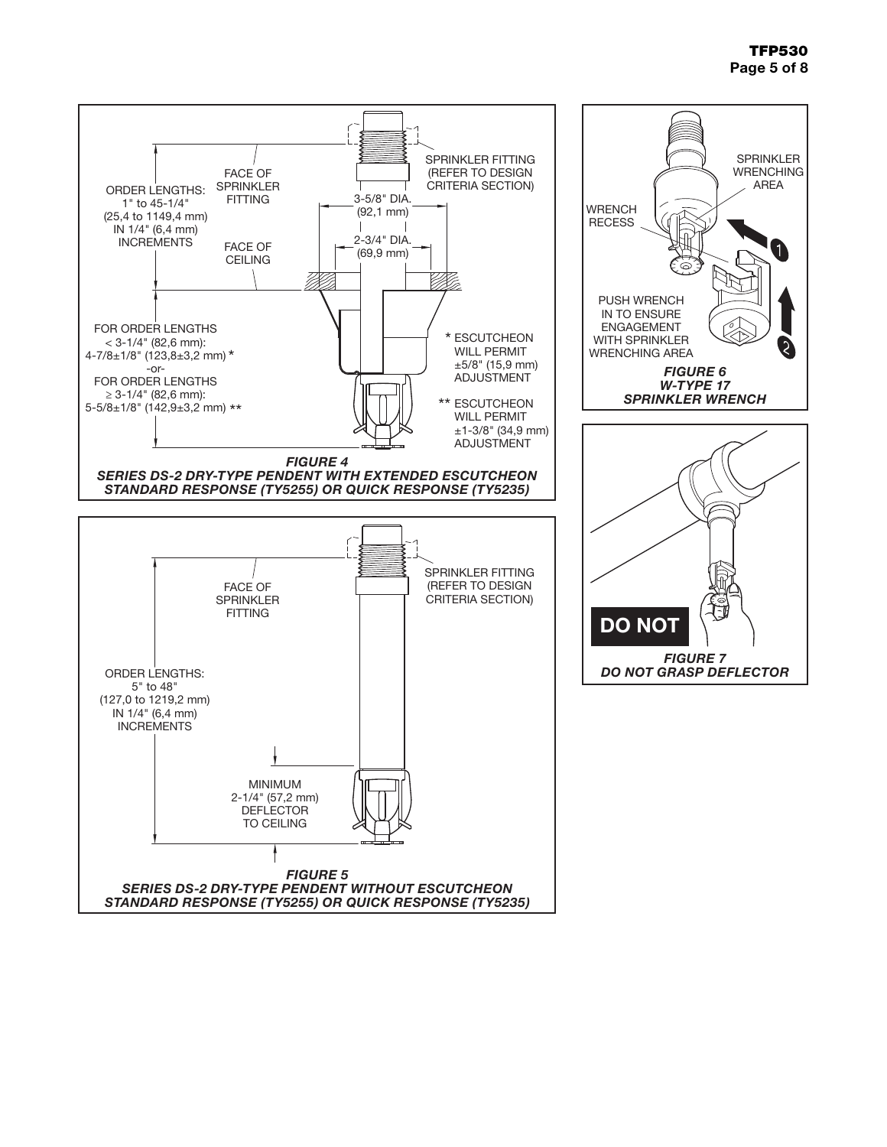## TFP530 Page 5 of 8

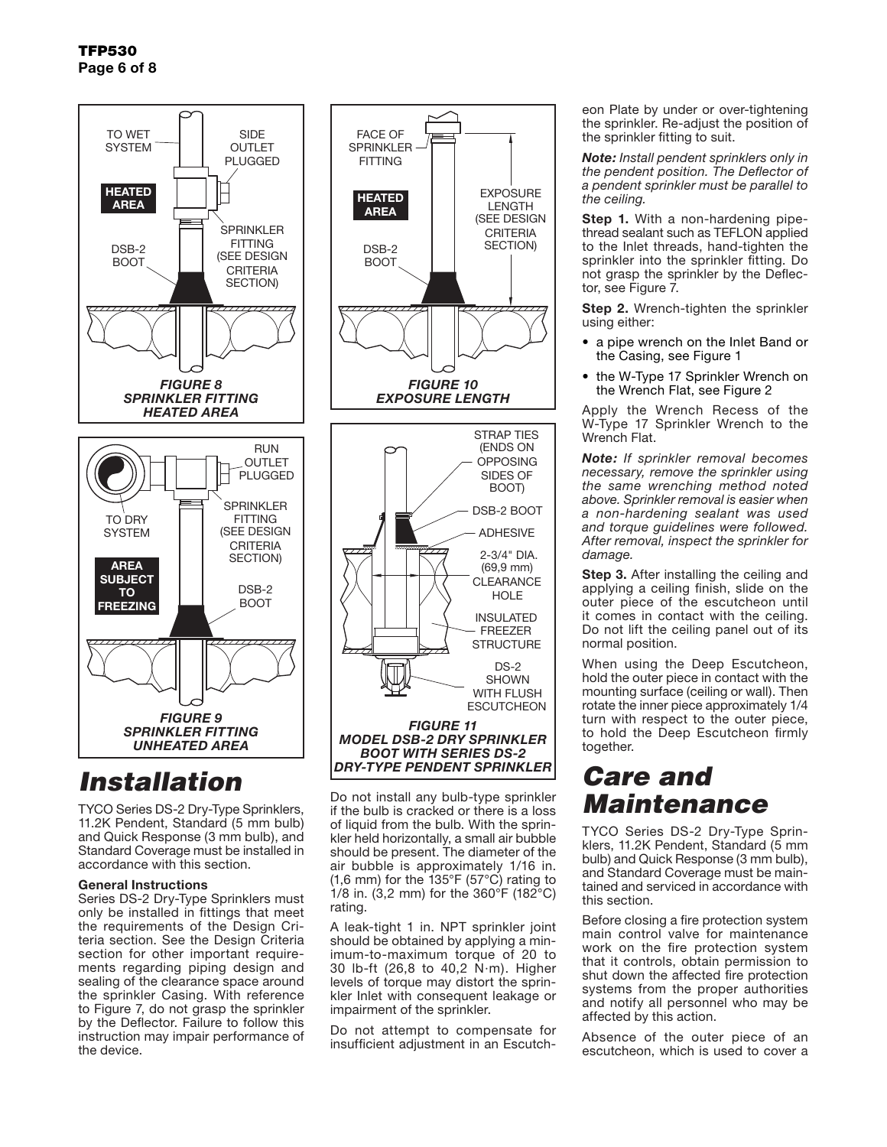

# *Installation*

TYCO Series DS-2 Dry-Type Sprinklers, 11.2K Pendent, Standard (5 mm bulb) and Quick Response (3 mm bulb), and Standard Coverage must be installed in accordance with this section.

### General Instructions

Series DS-2 Dry-Type Sprinklers must only be installed in fittings that meet the requirements of the Design Criteria section. See the Design Criteria section for other important requirements regarding piping design and sealing of the clearance space around the sprinkler Casing. With reference to Figure 7, do not grasp the sprinkler by the Deflector. Failure to follow this instruction may impair performance of the device.



Do not install any bulb-type sprinkler if the bulb is cracked or there is a loss of liquid from the bulb. With the sprinkler held horizontally, a small air bubble should be present. The diameter of the air bubble is approximately 1/16 in. (1,6 mm) for the 135°F (57°C) rating to 1/8 in. (3,2 mm) for the 360°F (182°C) rating.

A leak-tight 1 in. NPT sprinkler joint should be obtained by applying a minimum-to-maximum torque of 20 to 30 lb-ft (26,8 to 40,2 N·m). Higher levels of torque may distort the sprinkler Inlet with consequent leakage or impairment of the sprinkler.

Do not attempt to compensate for insufficient adjustment in an Escutcheon Plate by under or over-tightening the sprinkler. Re-adjust the position of the sprinkler fitting to suit.

*Note: Install pendent sprinklers only in the pendent position. The Deflector of a pendent sprinkler must be parallel to the ceiling.*

**Step 1.** With a non-hardening pipethread sealant such as TEFLON applied to the Inlet threads, hand-tighten the sprinkler into the sprinkler fitting. Do not grasp the sprinkler by the Deflector, see Figure 7.

**Step 2.** Wrench-tighten the sprinkler using either:

- a pipe wrench on the Inlet Band or the Casing, see Figure 1
- the W-Type 17 Sprinkler Wrench on the Wrench Flat, see Figure 2

Apply the Wrench Recess of the W-Type 17 Sprinkler Wrench to the Wrench Flat.

*Note: If sprinkler removal becomes necessary, remove the sprinkler using the same wrenching method noted above. Sprinkler removal is easier when a non-hardening sealant was used and torque guidelines were followed. After removal, inspect the sprinkler for damage.*

**Step 3.** After installing the ceiling and applying a ceiling finish, slide on the outer piece of the escutcheon until it comes in contact with the ceiling. Do not lift the ceiling panel out of its normal position.

When using the Deep Escutcheon, hold the outer piece in contact with the mounting surface (ceiling or wall). Then rotate the inner piece approximately 1/4 turn with respect to the outer piece, to hold the Deep Escutcheon firmly together.

## *Care and Maintenance*

TYCO Series DS-2 Dry-Type Sprinklers, 11.2K Pendent, Standard (5 mm bulb) and Quick Response (3 mm bulb), and Standard Coverage must be maintained and serviced in accordance with this section.

Before closing a fire protection system main control valve for maintenance work on the fire protection system that it controls, obtain permission to shut down the affected fire protection systems from the proper authorities and notify all personnel who may be affected by this action.

Absence of the outer piece of an escutcheon, which is used to cover a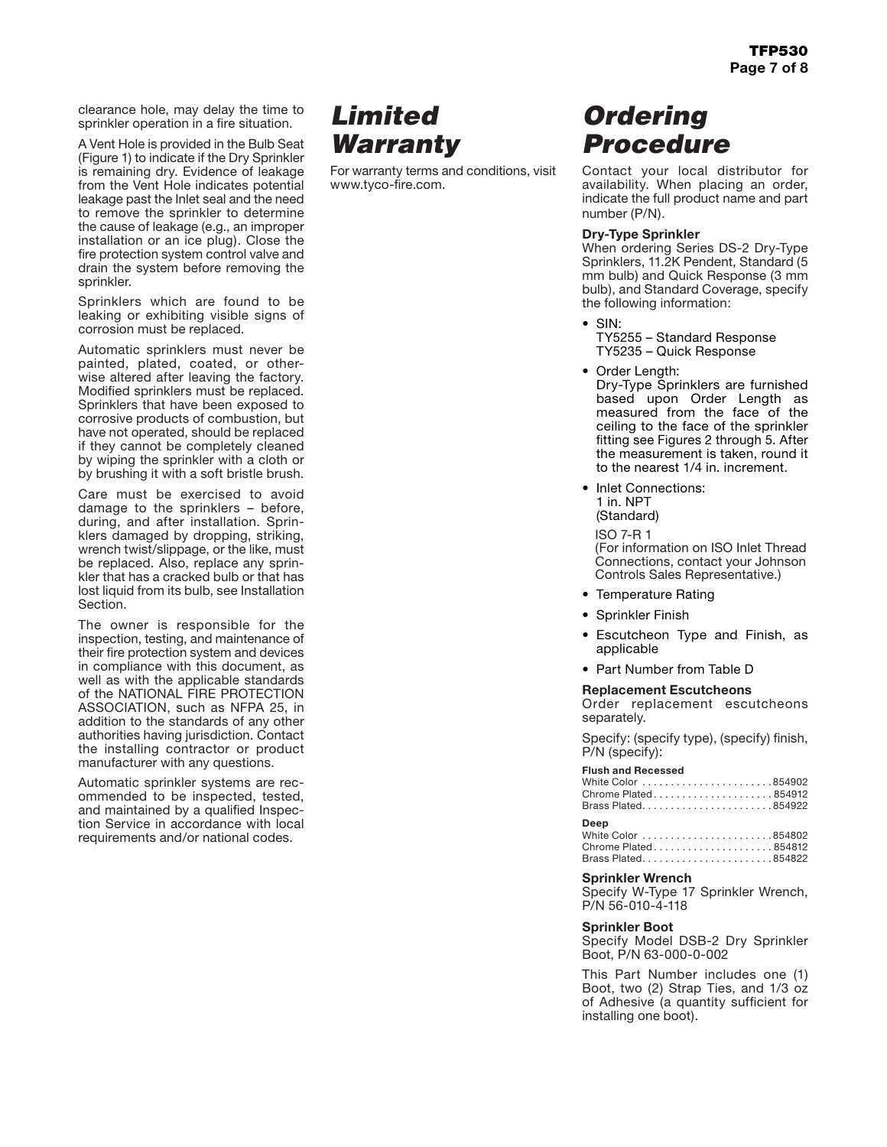clearance hole, may delay the time to sprinkler operation in a fire situation.

A Vent Hole is provided in the Bulb Seat (Figure 1) to indicate if the Dry Sprinkler is remaining dry. Evidence of leakage from the Vent Hole indicates potential leakage past the Inlet seal and the need to remove the sprinkler to determine the cause of leakage (e.g., an improper installation or an ice plug). Close the fire protection system control valve and drain the system before removing the sprinkler.

Sprinklers which are found to be leaking or exhibiting visible signs of corrosion must be replaced.

Automatic sprinklers must never be painted, plated, coated, or otherwise altered after leaving the factory. Modified sprinklers must be replaced. Sprinklers that have been exposed to corrosive products of combustion, but have not operated, should be replaced if they cannot be completely cleaned by wiping the sprinkler with a cloth or by brushing it with a soft bristle brush.

Care must be exercised to avoid damage to the sprinklers – before, during, and after installation. Sprinklers damaged by dropping, striking, wrench twist/slippage, or the like, must be replaced. Also, replace any sprinkler that has a cracked bulb or that has lost liquid from its bulb, see Installation Section.

The owner is responsible for the inspection, testing, and maintenance of their fire protection system and devices in compliance with this document, as well as with the applicable standards of the NATIONAL FIRE PROTECTION ASSOCIATION, such as NFPA 25, in addition to the standards of any other authorities having jurisdiction. Contact the installing contractor or product manufacturer with any questions.

Automatic sprinkler systems are recommended to be inspected, tested, and maintained by a qualified Inspection Service in accordance with local requirements and/or national codes.

## *Limited Warranty*

For warranty terms and conditions, visit www.tyco-fire.com.

## *Ordering Procedure*

Contact your local distributor for availability. When placing an order, indicate the full product name and part number (P/N).

## Dry-Type Sprinkler

When ordering Series DS-2 Dry-Type Sprinklers, 11.2K Pendent, Standard (5 mm bulb) and Quick Response (3 mm bulb), and Standard Coverage, specify the following information:

• SIN:

TY5255 – Standard Response TY5235 – Quick Response

• Order Length:

Dry-Type Sprinklers are furnished based upon Order Length as measured from the face of the ceiling to the face of the sprinkler fitting see Figures 2 through 5. After the measurement is taken, round it to the nearest 1/4 in. increment.

• Inlet Connections: 1 in. NPT (Standard)

ISO 7-R 1 (For information on ISO Inlet Thread Connections, contact your Johnson Controls Sales Representative.)

- Temperature Rating
- Sprinkler Finish
- Escutcheon Type and Finish, as applicable
- Part Number from Table D

## Replacement Escutcheons

Order replacement escutcheons separately.

Specify: (specify type), (specify) finish, P/N (specify):

### **Flush and Recessed**

| White Color 854902  |  |
|---------------------|--|
| Chrome Plated854912 |  |
| Brass Plated854922  |  |

### **Deep**

| Chrome Plated854812 |  |
|---------------------|--|
| Brass Plated854822  |  |

#### Sprinkler Wrench

Specify W-Type 17 Sprinkler Wrench, P/N 56-010-4-118

### Sprinkler Boot

Specify Model DSB-2 Dry Sprinkler Boot, P/N 63-000-0-002

This Part Number includes one (1) Boot, two (2) Strap Ties, and 1/3 oz of Adhesive (a quantity sufficient for installing one boot).